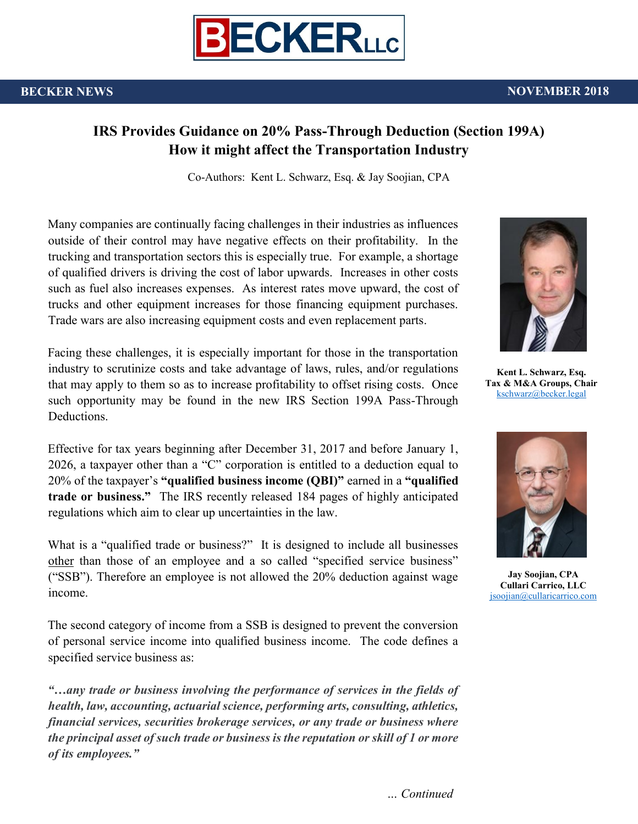

#### **BECKER NEWS** NOVEMBER 2018

## **IRS Provides Guidance on 20% Pass-Through Deduction (Section 199A) How it might affect the Transportation Industry**

Co-Authors: Kent L. Schwarz, Esq. & Jay Soojian, CPA

Many companies are continually facing challenges in their industries as influences outside of their control may have negative effects on their profitability. In the trucking and transportation sectors this is especially true. For example, a shortage of qualified drivers is driving the cost of labor upwards. Increases in other costs such as fuel also increases expenses. As interest rates move upward, the cost of trucks and other equipment increases for those financing equipment purchases. Trade wars are also increasing equipment costs and even replacement parts.

Facing these challenges, it is especially important for those in the transportation industry to scrutinize costs and take advantage of laws, rules, and/or regulations that may apply to them so as to increase profitability to offset rising costs. Once such opportunity may be found in the new IRS Section 199A Pass-Through Deductions.

Effective for tax years beginning after December 31, 2017 and before January 1, 2026, a taxpayer other than a "C" corporation is entitled to a deduction equal to 20% of the taxpayer's **"qualified business income (QBI)"** earned in a **"qualified trade or business."** The IRS recently released 184 pages of highly anticipated regulations which aim to clear up uncertainties in the law.

What is a "qualified trade or business?" It is designed to include all businesses other than those of an employee and a so called "specified service business" ("SSB"). Therefore an employee is not allowed the 20% deduction against wage income.

The second category of income from a SSB is designed to prevent the conversion of personal service income into qualified business income. The code defines a specified service business as:

*"…any trade or business involving the performance of services in the fields of health, law, accounting, actuarial science, performing arts, consulting, athletics, financial services, securities brokerage services, or any trade or business where the principal asset of such trade or business is the reputation or skill of 1 or more of its employees."* 



**Kent L. Schwarz, Esq. Tax & M&A Groups, Chair** [kschwarz@becker.legal](mailto:kschwarz@becker.legal)



**Jay Soojian, CPA Cullari Carrico, LLC** [jsoojian@cullaricarrico.com](mailto:jsoojian@cullaricarrico.com)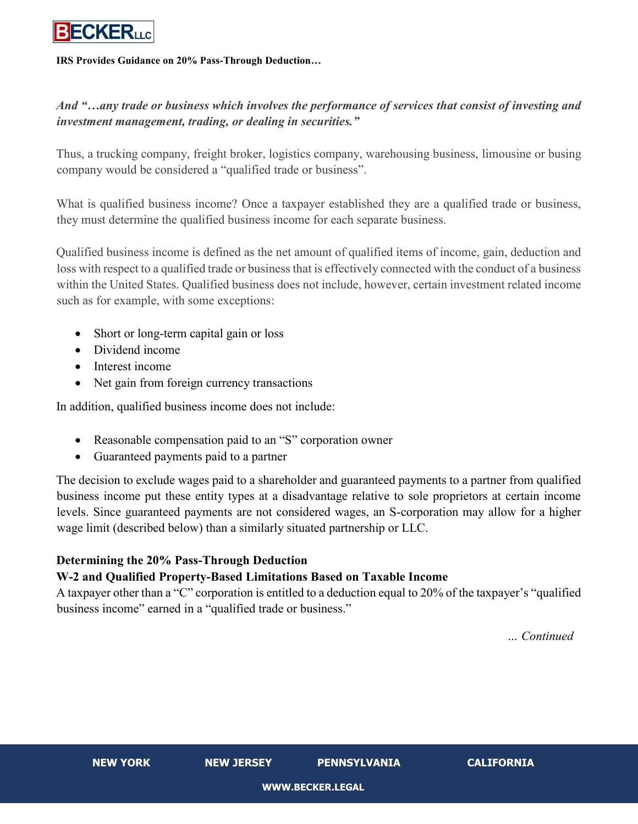

#### **IRS Provides Guidance on 20% Pass-Through Deduction…**

## *And "…any trade or business which involves the performance of services that consist of investing and investment management, trading, or dealing in securities."*

Thus, a trucking company, freight broker, logistics company, warehousing business, limousine or busing company would be considered a "qualified trade or business".

What is qualified business income? Once a taxpayer established they are a qualified trade or business, they must determine the qualified business income for each separate business.

Qualified business income is defined as the net amount of qualified items of income, gain, deduction and loss with respect to a qualified trade or business that is effectively connected with the conduct of a business within the United States. Qualified business does not include, however, certain investment related income such as for example, with some exceptions:

- Short or long-term capital gain or loss
- Dividend income
- Interest income
- Net gain from foreign currency transactions

In addition, qualified business income does not include:

- Reasonable compensation paid to an "S" corporation owner
- Guaranteed payments paid to a partner

The decision to exclude wages paid to a shareholder and guaranteed payments to a partner from qualified business income put these entity types at a disadvantage relative to sole proprietors at certain income levels. Since guaranteed payments are not considered wages, an S-corporation may allow for a higher wage limit (described below) than a similarly situated partnership or LLC.

# **Determining the 20% Pass-Through Deduction**

### **W-2 and Qualified Property-Based Limitations Based on Taxable Income**

A taxpayer other than a "C" corporation is entitled to a deduction equal to 20% of the taxpayer's "qualified business income" earned in a "qualified trade or business."

*… Continued*

**NEW YORK NEW JERSEY PENNSYLVANIA CALIFORNIA**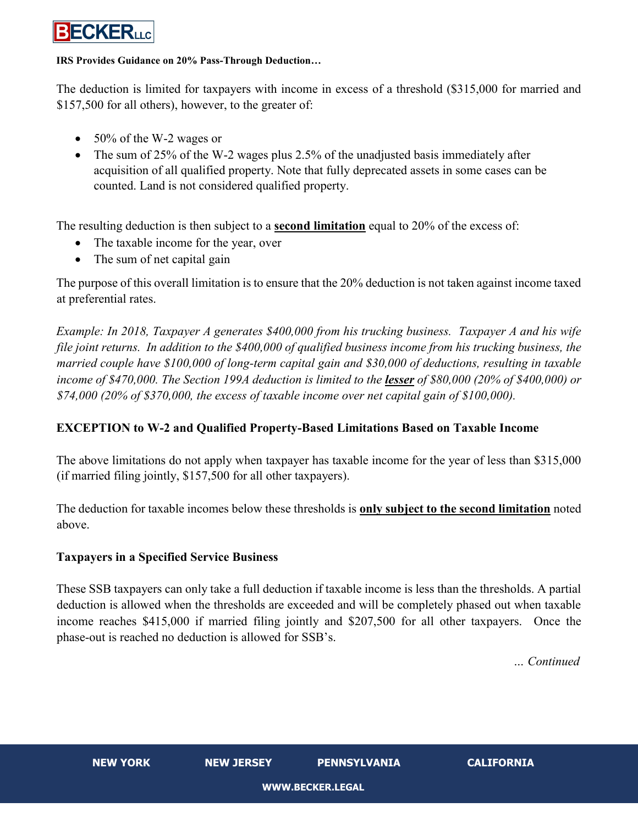

#### **IRS Provides Guidance on 20% Pass-Through Deduction…**

The deduction is limited for taxpayers with income in excess of a threshold (\$315,000 for married and \$157,500 for all others), however, to the greater of:

- 50% of the W-2 wages or
- The sum of 25% of the W-2 wages plus 2.5% of the unadjusted basis immediately after acquisition of all qualified property. Note that fully deprecated assets in some cases can be counted. Land is not considered qualified property.

The resulting deduction is then subject to a **second limitation** equal to 20% of the excess of:

- The taxable income for the year, over
- The sum of net capital gain

The purpose of this overall limitation is to ensure that the 20% deduction is not taken against income taxed at preferential rates.

*Example: In 2018, Taxpayer A generates \$400,000 from his trucking business. Taxpayer A and his wife file joint returns. In addition to the \$400,000 of qualified business income from his trucking business, the married couple have \$100,000 of long-term capital gain and \$30,000 of deductions, resulting in taxable income of \$470,000. The Section 199A deduction is limited to the lesser of \$80,000 (20% of \$400,000) or \$74,000 (20% of \$370,000, the excess of taxable income over net capital gain of \$100,000).*

### **EXCEPTION to W-2 and Qualified Property-Based Limitations Based on Taxable Income**

The above limitations do not apply when taxpayer has taxable income for the year of less than \$315,000 (if married filing jointly, \$157,500 for all other taxpayers).

The deduction for taxable incomes below these thresholds is **only subject to the second limitation** noted above.

### **Taxpayers in a Specified Service Business**

These SSB taxpayers can only take a full deduction if taxable income is less than the thresholds. A partial deduction is allowed when the thresholds are exceeded and will be completely phased out when taxable income reaches \$415,000 if married filing jointly and \$207,500 for all other taxpayers. Once the phase-out is reached no deduction is allowed for SSB's.

*… Continued*

**NEW YORK NEW JERSEY PENNSYLVANIA CALIFORNIA**